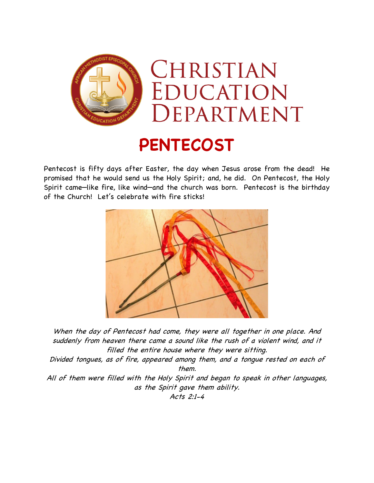

## **PENTECOST**

Pentecost is fifty days after Easter, the day when Jesus arose from the dead! He promised that he would send us the Holy Spirit; and, he did. On Pentecost, the Holy Spirit came—like fire, like wind—and the church was born. Pentecost is the birthday of the Church! Let's celebrate with fire sticks!



When the day of Pentecost had come, they were all together in one place. And suddenly from heaven there came a sound like the rush of a violent wind, and it filled the entire house where they were sitting.

Divided tongues, as of fire, appeared among them, and a tongue rested on each of them.

All of them were filled with the Holy Spirit and began to speak in other languages, as the Spirit gave them ability.

Acts 2:1-4